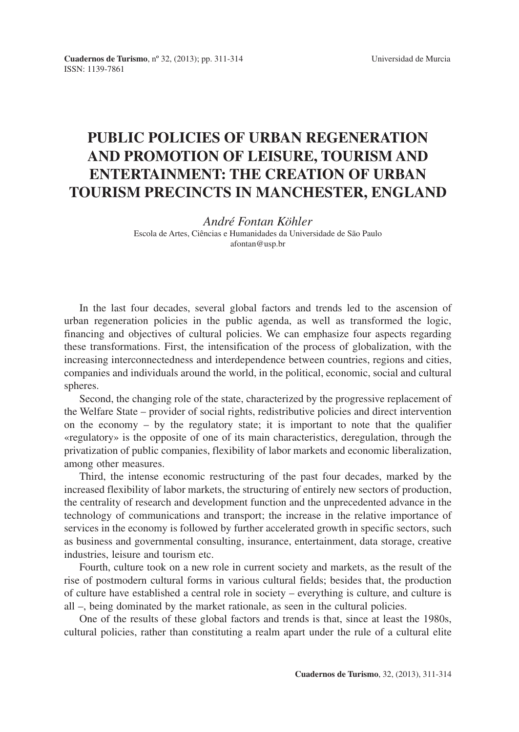## **PUBLIC POLICIES OF URBAN REGENERATION AND PROMOTION OF LEISURE, TOURISM AND ENTERTAINMENT: THE CREATION OF URBAN TOURISM PRECINCTS IN MANCHESTER, ENGLAND**

## *André Fontan Köhler* Escola de Artes, Ciências e Humanidades da Universidade de São Paulo afontan@usp.br

In the last four decades, several global factors and trends led to the ascension of urban regeneration policies in the public agenda, as well as transformed the logic, financing and objectives of cultural policies. We can emphasize four aspects regarding these transformations. First, the intensification of the process of globalization, with the increasing interconnectedness and interdependence between countries, regions and cities, companies and individuals around the world, in the political, economic, social and cultural spheres.

Second, the changing role of the state, characterized by the progressive replacement of the Welfare State – provider of social rights, redistributive policies and direct intervention on the economy  $-$  by the regulatory state; it is important to note that the qualifier «regulatory» is the opposite of one of its main characteristics, deregulation, through the privatization of public companies, flexibility of labor markets and economic liberalization, among other measures.

Third, the intense economic restructuring of the past four decades, marked by the increased flexibility of labor markets, the structuring of entirely new sectors of production, the centrality of research and development function and the unprecedented advance in the technology of communications and transport; the increase in the relative importance of services in the economy is followed by further accelerated growth in specific sectors, such as business and governmental consulting, insurance, entertainment, data storage, creative industries, leisure and tourism etc.

Fourth, culture took on a new role in current society and markets, as the result of the rise of postmodern cultural forms in various cultural fields; besides that, the production of culture have established a central role in society – everything is culture, and culture is all –, being dominated by the market rationale, as seen in the cultural policies.

One of the results of these global factors and trends is that, since at least the 1980s, cultural policies, rather than constituting a realm apart under the rule of a cultural elite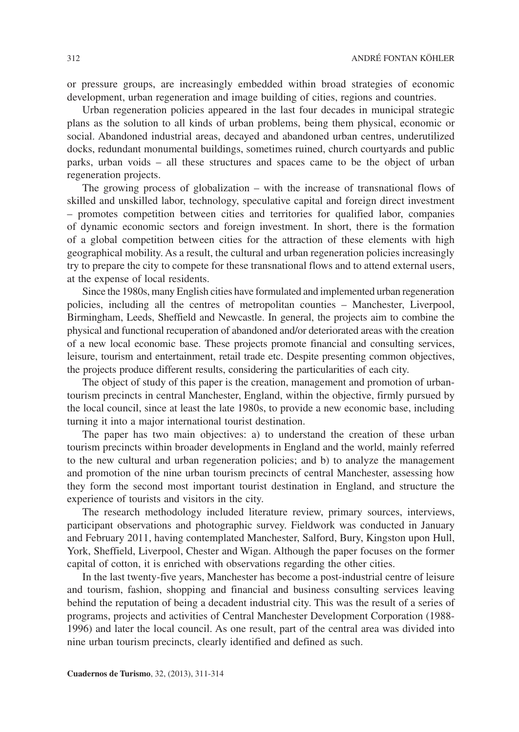or pressure groups, are increasingly embedded within broad strategies of economic development, urban regeneration and image building of cities, regions and countries.

Urban regeneration policies appeared in the last four decades in municipal strategic plans as the solution to all kinds of urban problems, being them physical, economic or social. Abandoned industrial areas, decayed and abandoned urban centres, underutilized docks, redundant monumental buildings, sometimes ruined, church courtyards and public parks, urban voids – all these structures and spaces came to be the object of urban regeneration projects.

The growing process of globalization – with the increase of transnational flows of skilled and unskilled labor, technology, speculative capital and foreign direct investment – promotes competition between cities and territories for qualified labor, companies of dynamic economic sectors and foreign investment. In short, there is the formation of a global competition between cities for the attraction of these elements with high geographical mobility. As a result, the cultural and urban regeneration policies increasingly try to prepare the city to compete for these transnational flows and to attend external users, at the expense of local residents.

Since the 1980s, many English cities have formulated and implemented urban regeneration policies, including all the centres of metropolitan counties – Manchester, Liverpool, Birmingham, Leeds, Sheffield and Newcastle. In general, the projects aim to combine the physical and functional recuperation of abandoned and/or deteriorated areas with the creation of a new local economic base. These projects promote financial and consulting services, leisure, tourism and entertainment, retail trade etc. Despite presenting common objectives, the projects produce different results, considering the particularities of each city.

The object of study of this paper is the creation, management and promotion of urbantourism precincts in central Manchester, England, within the objective, firmly pursued by the local council, since at least the late 1980s, to provide a new economic base, including turning it into a major international tourist destination.

The paper has two main objectives: a) to understand the creation of these urban tourism precincts within broader developments in England and the world, mainly referred to the new cultural and urban regeneration policies; and b) to analyze the management and promotion of the nine urban tourism precincts of central Manchester, assessing how they form the second most important tourist destination in England, and structure the experience of tourists and visitors in the city.

The research methodology included literature review, primary sources, interviews, participant observations and photographic survey. Fieldwork was conducted in January and February 2011, having contemplated Manchester, Salford, Bury, Kingston upon Hull, York, Sheffield, Liverpool, Chester and Wigan. Although the paper focuses on the former capital of cotton, it is enriched with observations regarding the other cities.

In the last twenty-five years, Manchester has become a post-industrial centre of leisure and tourism, fashion, shopping and financial and business consulting services leaving behind the reputation of being a decadent industrial city. This was the result of a series of programs, projects and activities of Central Manchester Development Corporation (1988- 1996) and later the local council. As one result, part of the central area was divided into nine urban tourism precincts, clearly identified and defined as such.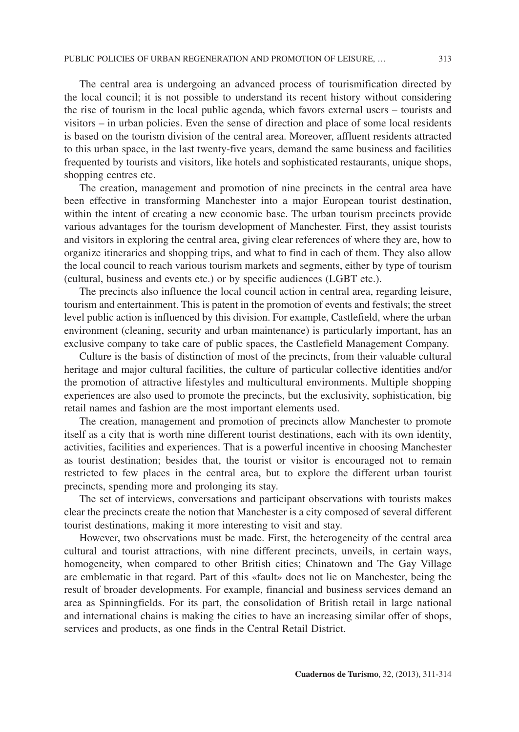The central area is undergoing an advanced process of tourismification directed by the local council; it is not possible to understand its recent history without considering the rise of tourism in the local public agenda, which favors external users – tourists and visitors – in urban policies. Even the sense of direction and place of some local residents is based on the tourism division of the central area. Moreover, affluent residents attracted to this urban space, in the last twenty-five years, demand the same business and facilities frequented by tourists and visitors, like hotels and sophisticated restaurants, unique shops, shopping centres etc.

The creation, management and promotion of nine precincts in the central area have been effective in transforming Manchester into a major European tourist destination, within the intent of creating a new economic base. The urban tourism precincts provide various advantages for the tourism development of Manchester. First, they assist tourists and visitors in exploring the central area, giving clear references of where they are, how to organize itineraries and shopping trips, and what to find in each of them. They also allow the local council to reach various tourism markets and segments, either by type of tourism (cultural, business and events etc.) or by specific audiences (LGBT etc.).

The precincts also influence the local council action in central area, regarding leisure, tourism and entertainment. This is patent in the promotion of events and festivals; the street level public action is influenced by this division. For example, Castlefield, where the urban environment (cleaning, security and urban maintenance) is particularly important, has an exclusive company to take care of public spaces, the Castlefield Management Company.

Culture is the basis of distinction of most of the precincts, from their valuable cultural heritage and major cultural facilities, the culture of particular collective identities and/or the promotion of attractive lifestyles and multicultural environments. Multiple shopping experiences are also used to promote the precincts, but the exclusivity, sophistication, big retail names and fashion are the most important elements used.

The creation, management and promotion of precincts allow Manchester to promote itself as a city that is worth nine different tourist destinations, each with its own identity, activities, facilities and experiences. That is a powerful incentive in choosing Manchester as tourist destination; besides that, the tourist or visitor is encouraged not to remain restricted to few places in the central area, but to explore the different urban tourist precincts, spending more and prolonging its stay.

The set of interviews, conversations and participant observations with tourists makes clear the precincts create the notion that Manchester is a city composed of several different tourist destinations, making it more interesting to visit and stay.

However, two observations must be made. First, the heterogeneity of the central area cultural and tourist attractions, with nine different precincts, unveils, in certain ways, homogeneity, when compared to other British cities; Chinatown and The Gay Village are emblematic in that regard. Part of this «fault» does not lie on Manchester, being the result of broader developments. For example, financial and business services demand an area as Spinningfields. For its part, the consolidation of British retail in large national and international chains is making the cities to have an increasing similar offer of shops, services and products, as one finds in the Central Retail District.